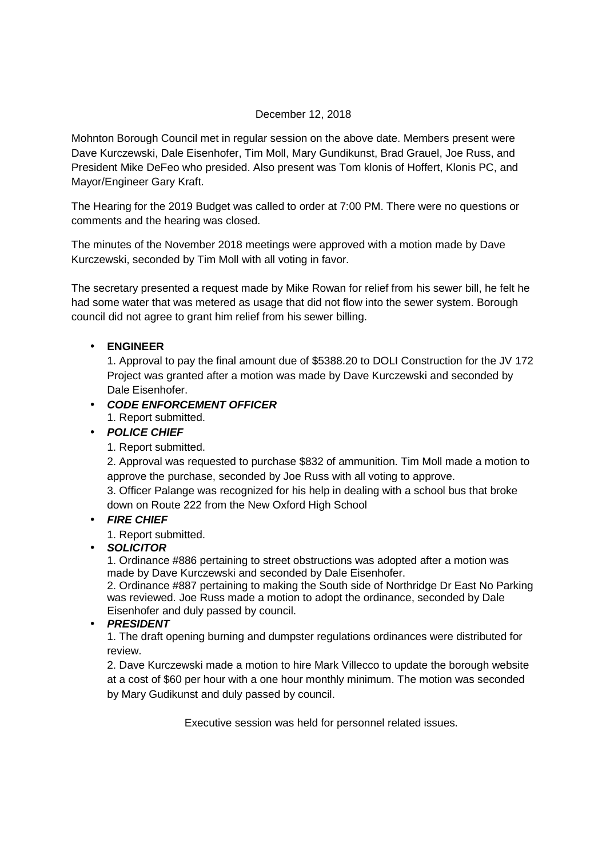## December 12, 2018

Mohnton Borough Council met in regular session on the above date. Members present were Dave Kurczewski, Dale Eisenhofer, Tim Moll, Mary Gundikunst, Brad Grauel, Joe Russ, and President Mike DeFeo who presided. Also present was Tom klonis of Hoffert, Klonis PC, and Mayor/Engineer Gary Kraft.

The Hearing for the 2019 Budget was called to order at 7:00 PM. There were no questions or comments and the hearing was closed.

The minutes of the November 2018 meetings were approved with a motion made by Dave Kurczewski, seconded by Tim Moll with all voting in favor.

The secretary presented a request made by Mike Rowan for relief from his sewer bill, he felt he had some water that was metered as usage that did not flow into the sewer system. Borough council did not agree to grant him relief from his sewer billing.

## • **ENGINEER**

1. Approval to pay the final amount due of \$5388.20 to DOLI Construction for the JV 172 Project was granted after a motion was made by Dave Kurczewski and seconded by Dale Eisenhofer.

## • **CODE ENFORCEMENT OFFICER**

1. Report submitted.

# • **POLICE CHIEF**

1. Report submitted.

2. Approval was requested to purchase \$832 of ammunition. Tim Moll made a motion to approve the purchase, seconded by Joe Russ with all voting to approve.

3. Officer Palange was recognized for his help in dealing with a school bus that broke down on Route 222 from the New Oxford High School

## • **FIRE CHIEF**

1. Report submitted.

• **SOLICITOR** 

1. Ordinance #886 pertaining to street obstructions was adopted after a motion was made by Dave Kurczewski and seconded by Dale Eisenhofer.

2. Ordinance #887 pertaining to making the South side of Northridge Dr East No Parking was reviewed. Joe Russ made a motion to adopt the ordinance, seconded by Dale Eisenhofer and duly passed by council.

### • **PRESIDENT**

1. The draft opening burning and dumpster regulations ordinances were distributed for review.

2. Dave Kurczewski made a motion to hire Mark Villecco to update the borough website at a cost of \$60 per hour with a one hour monthly minimum. The motion was seconded by Mary Gudikunst and duly passed by council.

Executive session was held for personnel related issues.